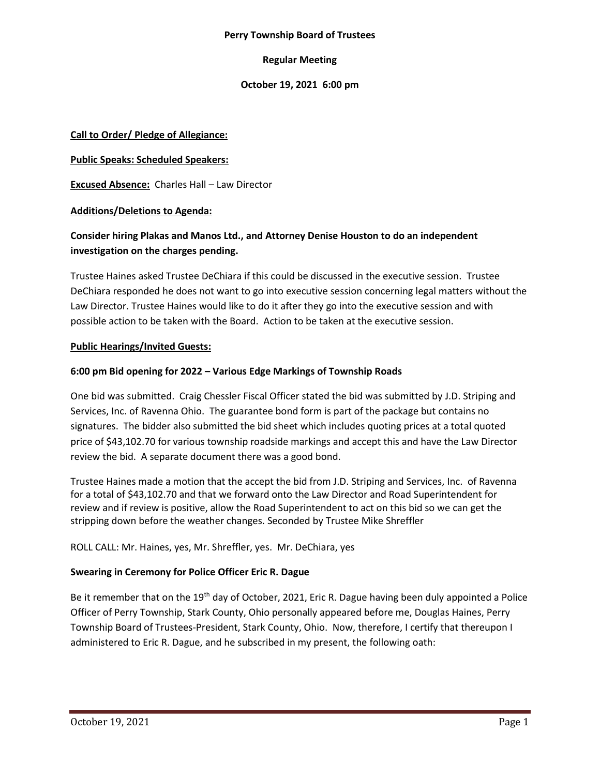#### **Perry Township Board of Trustees**

## **Regular Meeting**

## **October 19, 2021 6:00 pm**

## **Call to Order/ Pledge of Allegiance:**

## **Public Speaks: Scheduled Speakers:**

**Excused Absence:** Charles Hall – Law Director

## **Additions/Deletions to Agenda:**

# **Consider hiring Plakas and Manos Ltd., and Attorney Denise Houston to do an independent investigation on the charges pending.**

Trustee Haines asked Trustee DeChiara if this could be discussed in the executive session. Trustee DeChiara responded he does not want to go into executive session concerning legal matters without the Law Director. Trustee Haines would like to do it after they go into the executive session and with possible action to be taken with the Board. Action to be taken at the executive session.

## **Public Hearings/Invited Guests:**

## **6:00 pm Bid opening for 2022 – Various Edge Markings of Township Roads**

One bid was submitted. Craig Chessler Fiscal Officer stated the bid was submitted by J.D. Striping and Services, Inc. of Ravenna Ohio. The guarantee bond form is part of the package but contains no signatures. The bidder also submitted the bid sheet which includes quoting prices at a total quoted price of \$43,102.70 for various township roadside markings and accept this and have the Law Director review the bid. A separate document there was a good bond.

Trustee Haines made a motion that the accept the bid from J.D. Striping and Services, Inc. of Ravenna for a total of \$43,102.70 and that we forward onto the Law Director and Road Superintendent for review and if review is positive, allow the Road Superintendent to act on this bid so we can get the stripping down before the weather changes. Seconded by Trustee Mike Shreffler

## ROLL CALL: Mr. Haines, yes, Mr. Shreffler, yes. Mr. DeChiara, yes

## **Swearing in Ceremony for Police Officer Eric R. Dague**

Be it remember that on the 19<sup>th</sup> day of October, 2021, Eric R. Dague having been duly appointed a Police Officer of Perry Township, Stark County, Ohio personally appeared before me, Douglas Haines, Perry Township Board of Trustees-President, Stark County, Ohio. Now, therefore, I certify that thereupon I administered to Eric R. Dague, and he subscribed in my present, the following oath: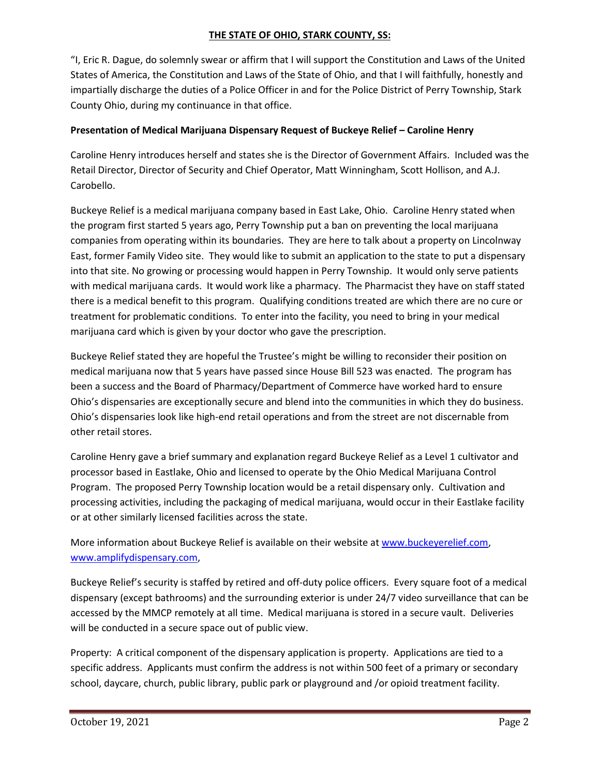## **THE STATE OF OHIO, STARK COUNTY, SS:**

"I, Eric R. Dague, do solemnly swear or affirm that I will support the Constitution and Laws of the United States of America, the Constitution and Laws of the State of Ohio, and that I will faithfully, honestly and impartially discharge the duties of a Police Officer in and for the Police District of Perry Township, Stark County Ohio, during my continuance in that office.

# **Presentation of Medical Marijuana Dispensary Request of Buckeye Relief – Caroline Henry**

Caroline Henry introduces herself and states she is the Director of Government Affairs. Included was the Retail Director, Director of Security and Chief Operator, Matt Winningham, Scott Hollison, and A.J. Carobello.

Buckeye Relief is a medical marijuana company based in East Lake, Ohio. Caroline Henry stated when the program first started 5 years ago, Perry Township put a ban on preventing the local marijuana companies from operating within its boundaries. They are here to talk about a property on Lincolnway East, former Family Video site. They would like to submit an application to the state to put a dispensary into that site. No growing or processing would happen in Perry Township. It would only serve patients with medical marijuana cards. It would work like a pharmacy. The Pharmacist they have on staff stated there is a medical benefit to this program. Qualifying conditions treated are which there are no cure or treatment for problematic conditions. To enter into the facility, you need to bring in your medical marijuana card which is given by your doctor who gave the prescription.

Buckeye Relief stated they are hopeful the Trustee's might be willing to reconsider their position on medical marijuana now that 5 years have passed since House Bill 523 was enacted. The program has been a success and the Board of Pharmacy/Department of Commerce have worked hard to ensure Ohio's dispensaries are exceptionally secure and blend into the communities in which they do business. Ohio's dispensaries look like high-end retail operations and from the street are not discernable from other retail stores.

Caroline Henry gave a brief summary and explanation regard Buckeye Relief as a Level 1 cultivator and processor based in Eastlake, Ohio and licensed to operate by the Ohio Medical Marijuana Control Program. The proposed Perry Township location would be a retail dispensary only. Cultivation and processing activities, including the packaging of medical marijuana, would occur in their Eastlake facility or at other similarly licensed facilities across the state.

More information about Buckeye Relief is available on their website a[t www.buckeyerelief.com,](http://www.buckeyerelief.com/) [www.amplifydispensary.com,](http://www.amplifydispensary.com/)

Buckeye Relief's security is staffed by retired and off-duty police officers. Every square foot of a medical dispensary (except bathrooms) and the surrounding exterior is under 24/7 video surveillance that can be accessed by the MMCP remotely at all time. Medical marijuana is stored in a secure vault. Deliveries will be conducted in a secure space out of public view.

Property: A critical component of the dispensary application is property. Applications are tied to a specific address. Applicants must confirm the address is not within 500 feet of a primary or secondary school, daycare, church, public library, public park or playground and /or opioid treatment facility.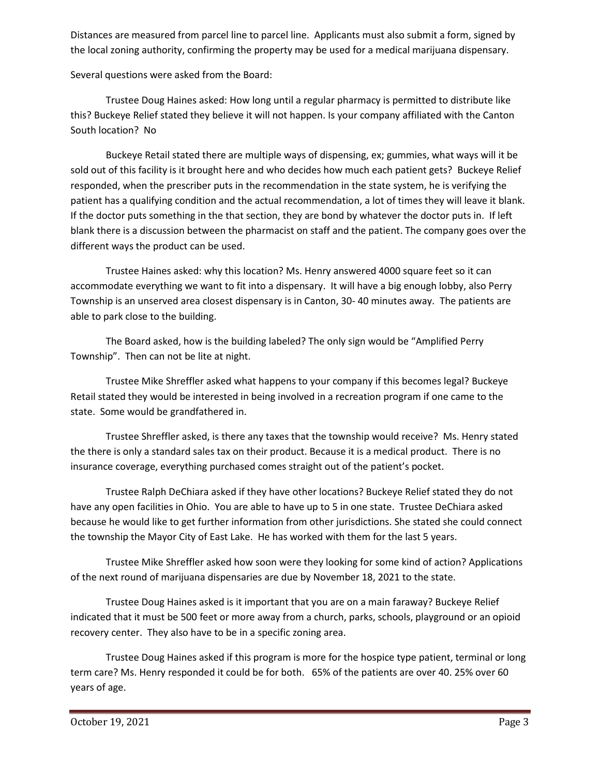Distances are measured from parcel line to parcel line. Applicants must also submit a form, signed by the local zoning authority, confirming the property may be used for a medical marijuana dispensary.

Several questions were asked from the Board:

Trustee Doug Haines asked: How long until a regular pharmacy is permitted to distribute like this? Buckeye Relief stated they believe it will not happen. Is your company affiliated with the Canton South location? No

Buckeye Retail stated there are multiple ways of dispensing, ex; gummies, what ways will it be sold out of this facility is it brought here and who decides how much each patient gets? Buckeye Relief responded, when the prescriber puts in the recommendation in the state system, he is verifying the patient has a qualifying condition and the actual recommendation, a lot of times they will leave it blank. If the doctor puts something in the that section, they are bond by whatever the doctor puts in. If left blank there is a discussion between the pharmacist on staff and the patient. The company goes over the different ways the product can be used.

Trustee Haines asked: why this location? Ms. Henry answered 4000 square feet so it can accommodate everything we want to fit into a dispensary. It will have a big enough lobby, also Perry Township is an unserved area closest dispensary is in Canton, 30- 40 minutes away. The patients are able to park close to the building.

The Board asked, how is the building labeled? The only sign would be "Amplified Perry Township". Then can not be lite at night.

Trustee Mike Shreffler asked what happens to your company if this becomes legal? Buckeye Retail stated they would be interested in being involved in a recreation program if one came to the state. Some would be grandfathered in.

Trustee Shreffler asked, is there any taxes that the township would receive? Ms. Henry stated the there is only a standard sales tax on their product. Because it is a medical product. There is no insurance coverage, everything purchased comes straight out of the patient's pocket.

Trustee Ralph DeChiara asked if they have other locations? Buckeye Relief stated they do not have any open facilities in Ohio. You are able to have up to 5 in one state. Trustee DeChiara asked because he would like to get further information from other jurisdictions. She stated she could connect the township the Mayor City of East Lake. He has worked with them for the last 5 years.

Trustee Mike Shreffler asked how soon were they looking for some kind of action? Applications of the next round of marijuana dispensaries are due by November 18, 2021 to the state.

Trustee Doug Haines asked is it important that you are on a main faraway? Buckeye Relief indicated that it must be 500 feet or more away from a church, parks, schools, playground or an opioid recovery center. They also have to be in a specific zoning area.

Trustee Doug Haines asked if this program is more for the hospice type patient, terminal or long term care? Ms. Henry responded it could be for both. 65% of the patients are over 40. 25% over 60 years of age.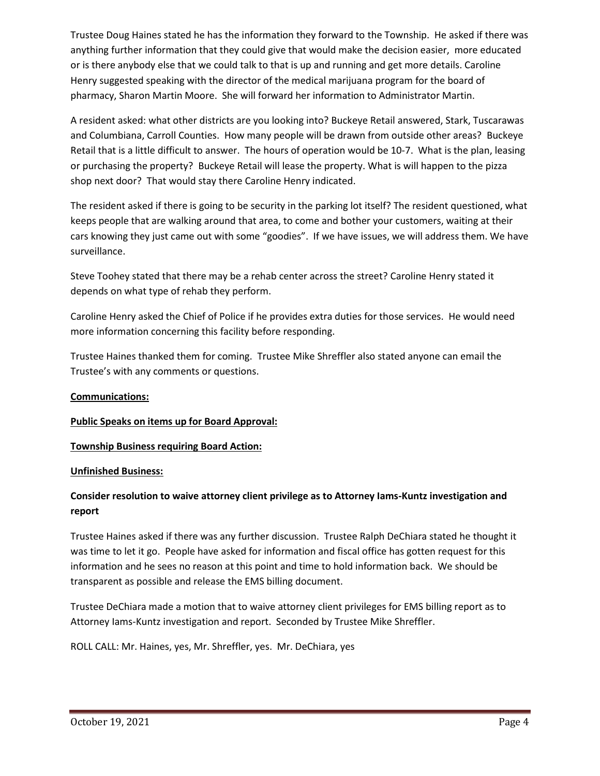Trustee Doug Haines stated he has the information they forward to the Township. He asked if there was anything further information that they could give that would make the decision easier, more educated or is there anybody else that we could talk to that is up and running and get more details. Caroline Henry suggested speaking with the director of the medical marijuana program for the board of pharmacy, Sharon Martin Moore. She will forward her information to Administrator Martin.

A resident asked: what other districts are you looking into? Buckeye Retail answered, Stark, Tuscarawas and Columbiana, Carroll Counties. How many people will be drawn from outside other areas? Buckeye Retail that is a little difficult to answer. The hours of operation would be 10-7. What is the plan, leasing or purchasing the property? Buckeye Retail will lease the property. What is will happen to the pizza shop next door? That would stay there Caroline Henry indicated.

The resident asked if there is going to be security in the parking lot itself? The resident questioned, what keeps people that are walking around that area, to come and bother your customers, waiting at their cars knowing they just came out with some "goodies". If we have issues, we will address them. We have surveillance.

Steve Toohey stated that there may be a rehab center across the street? Caroline Henry stated it depends on what type of rehab they perform.

Caroline Henry asked the Chief of Police if he provides extra duties for those services. He would need more information concerning this facility before responding.

Trustee Haines thanked them for coming. Trustee Mike Shreffler also stated anyone can email the Trustee's with any comments or questions.

## **Communications:**

## **Public Speaks on items up for Board Approval:**

## **Township Business requiring Board Action:**

## **Unfinished Business:**

# **Consider resolution to waive attorney client privilege as to Attorney Iams-Kuntz investigation and report**

Trustee Haines asked if there was any further discussion. Trustee Ralph DeChiara stated he thought it was time to let it go. People have asked for information and fiscal office has gotten request for this information and he sees no reason at this point and time to hold information back. We should be transparent as possible and release the EMS billing document.

Trustee DeChiara made a motion that to waive attorney client privileges for EMS billing report as to Attorney Iams-Kuntz investigation and report. Seconded by Trustee Mike Shreffler.

ROLL CALL: Mr. Haines, yes, Mr. Shreffler, yes. Mr. DeChiara, yes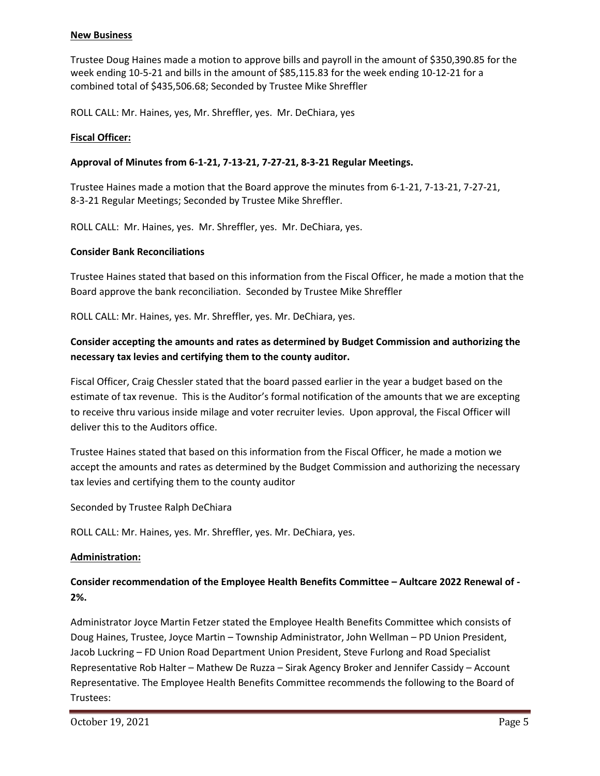#### **New Business**

Trustee Doug Haines made a motion to approve bills and payroll in the amount of \$350,390.85 for the week ending 10-5-21 and bills in the amount of \$85,115.83 for the week ending 10-12-21 for a combined total of \$435,506.68; Seconded by Trustee Mike Shreffler

ROLL CALL: Mr. Haines, yes, Mr. Shreffler, yes. Mr. DeChiara, yes

## **Fiscal Officer:**

## **Approval of Minutes from 6-1-21, 7-13-21, 7-27-21, 8-3-21 Regular Meetings.**

Trustee Haines made a motion that the Board approve the minutes from 6-1-21, 7-13-21, 7-27-21, 8-3-21 Regular Meetings; Seconded by Trustee Mike Shreffler.

ROLL CALL: Mr. Haines, yes. Mr. Shreffler, yes. Mr. DeChiara, yes.

#### **Consider Bank Reconciliations**

Trustee Haines stated that based on this information from the Fiscal Officer, he made a motion that the Board approve the bank reconciliation. Seconded by Trustee Mike Shreffler

ROLL CALL: Mr. Haines, yes. Mr. Shreffler, yes. Mr. DeChiara, yes.

# **Consider accepting the amounts and rates as determined by Budget Commission and authorizing the necessary tax levies and certifying them to the county auditor.**

Fiscal Officer, Craig Chessler stated that the board passed earlier in the year a budget based on the estimate of tax revenue. This is the Auditor's formal notification of the amounts that we are excepting to receive thru various inside milage and voter recruiter levies. Upon approval, the Fiscal Officer will deliver this to the Auditors office.

Trustee Haines stated that based on this information from the Fiscal Officer, he made a motion we accept the amounts and rates as determined by the Budget Commission and authorizing the necessary tax levies and certifying them to the county auditor

Seconded by Trustee Ralph DeChiara

ROLL CALL: Mr. Haines, yes. Mr. Shreffler, yes. Mr. DeChiara, yes.

#### **Administration:**

# **Consider recommendation of the Employee Health Benefits Committee – Aultcare 2022 Renewal of - 2%.**

Administrator Joyce Martin Fetzer stated the Employee Health Benefits Committee which consists of Doug Haines, Trustee, Joyce Martin – Township Administrator, John Wellman – PD Union President, Jacob Luckring – FD Union Road Department Union President, Steve Furlong and Road Specialist Representative Rob Halter – Mathew De Ruzza – Sirak Agency Broker and Jennifer Cassidy – Account Representative. The Employee Health Benefits Committee recommends the following to the Board of Trustees: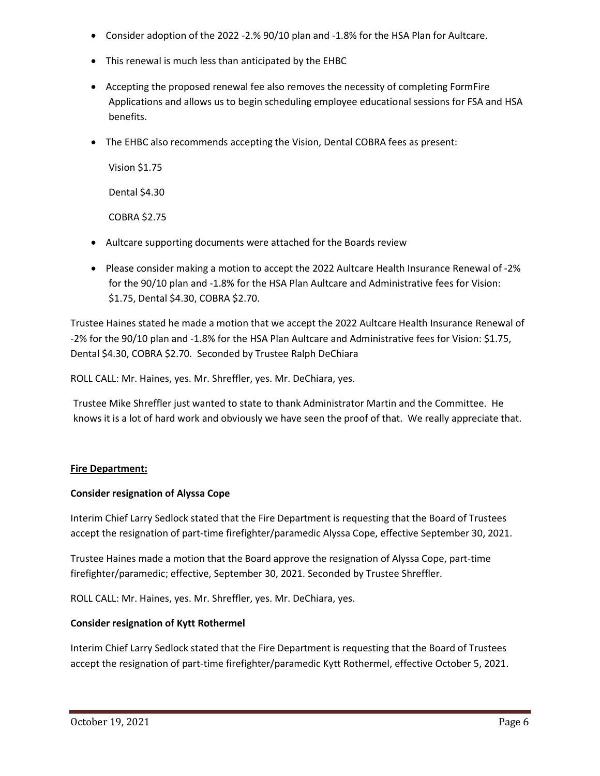- Consider adoption of the 2022 -2.% 90/10 plan and -1.8% for the HSA Plan for Aultcare.
- This renewal is much less than anticipated by the EHBC
- Accepting the proposed renewal fee also removes the necessity of completing FormFire Applications and allows us to begin scheduling employee educational sessions for FSA and HSA benefits.
- The EHBC also recommends accepting the Vision, Dental COBRA fees as present:

Vision \$1.75 Dental \$4.30 COBRA \$2.75

- Aultcare supporting documents were attached for the Boards review
- Please consider making a motion to accept the 2022 Aultcare Health Insurance Renewal of -2% for the 90/10 plan and -1.8% for the HSA Plan Aultcare and Administrative fees for Vision: \$1.75, Dental \$4.30, COBRA \$2.70.

Trustee Haines stated he made a motion that we accept the 2022 Aultcare Health Insurance Renewal of -2% for the 90/10 plan and -1.8% for the HSA Plan Aultcare and Administrative fees for Vision: \$1.75, Dental \$4.30, COBRA \$2.70. Seconded by Trustee Ralph DeChiara

ROLL CALL: Mr. Haines, yes. Mr. Shreffler, yes. Mr. DeChiara, yes.

Trustee Mike Shreffler just wanted to state to thank Administrator Martin and the Committee. He knows it is a lot of hard work and obviously we have seen the proof of that. We really appreciate that.

## **Fire Department:**

## **Consider resignation of Alyssa Cope**

Interim Chief Larry Sedlock stated that the Fire Department is requesting that the Board of Trustees accept the resignation of part-time firefighter/paramedic Alyssa Cope, effective September 30, 2021.

Trustee Haines made a motion that the Board approve the resignation of Alyssa Cope, part-time firefighter/paramedic; effective, September 30, 2021. Seconded by Trustee Shreffler.

ROLL CALL: Mr. Haines, yes. Mr. Shreffler, yes. Mr. DeChiara, yes.

## **Consider resignation of Kytt Rothermel**

Interim Chief Larry Sedlock stated that the Fire Department is requesting that the Board of Trustees accept the resignation of part-time firefighter/paramedic Kytt Rothermel, effective October 5, 2021.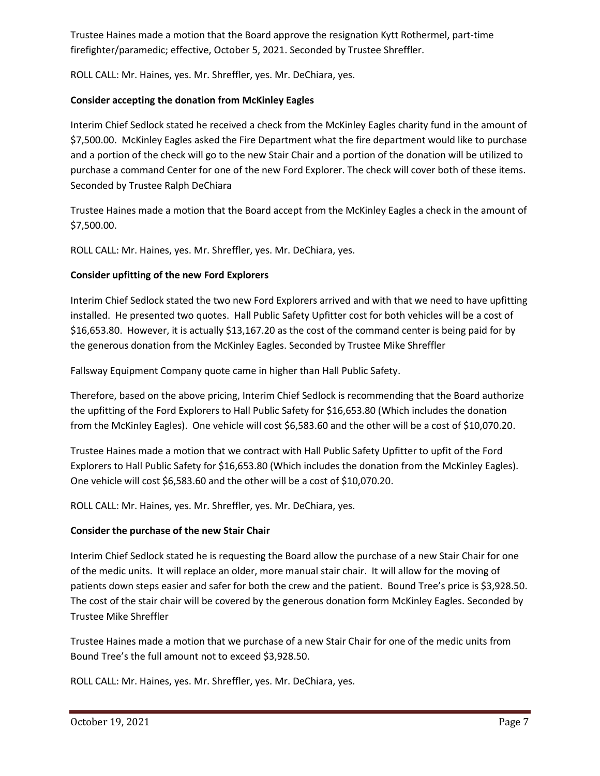Trustee Haines made a motion that the Board approve the resignation Kytt Rothermel, part-time firefighter/paramedic; effective, October 5, 2021. Seconded by Trustee Shreffler.

ROLL CALL: Mr. Haines, yes. Mr. Shreffler, yes. Mr. DeChiara, yes.

# **Consider accepting the donation from McKinley Eagles**

Interim Chief Sedlock stated he received a check from the McKinley Eagles charity fund in the amount of \$7,500.00. McKinley Eagles asked the Fire Department what the fire department would like to purchase and a portion of the check will go to the new Stair Chair and a portion of the donation will be utilized to purchase a command Center for one of the new Ford Explorer. The check will cover both of these items. Seconded by Trustee Ralph DeChiara

Trustee Haines made a motion that the Board accept from the McKinley Eagles a check in the amount of \$7,500.00.

ROLL CALL: Mr. Haines, yes. Mr. Shreffler, yes. Mr. DeChiara, yes.

# **Consider upfitting of the new Ford Explorers**

Interim Chief Sedlock stated the two new Ford Explorers arrived and with that we need to have upfitting installed. He presented two quotes. Hall Public Safety Upfitter cost for both vehicles will be a cost of \$16,653.80. However, it is actually \$13,167.20 as the cost of the command center is being paid for by the generous donation from the McKinley Eagles. Seconded by Trustee Mike Shreffler

Fallsway Equipment Company quote came in higher than Hall Public Safety.

Therefore, based on the above pricing, Interim Chief Sedlock is recommending that the Board authorize the upfitting of the Ford Explorers to Hall Public Safety for \$16,653.80 (Which includes the donation from the McKinley Eagles). One vehicle will cost \$6,583.60 and the other will be a cost of \$10,070.20.

Trustee Haines made a motion that we contract with Hall Public Safety Upfitter to upfit of the Ford Explorers to Hall Public Safety for \$16,653.80 (Which includes the donation from the McKinley Eagles). One vehicle will cost \$6,583.60 and the other will be a cost of \$10,070.20.

ROLL CALL: Mr. Haines, yes. Mr. Shreffler, yes. Mr. DeChiara, yes.

# **Consider the purchase of the new Stair Chair**

Interim Chief Sedlock stated he is requesting the Board allow the purchase of a new Stair Chair for one of the medic units. It will replace an older, more manual stair chair. It will allow for the moving of patients down steps easier and safer for both the crew and the patient. Bound Tree's price is \$3,928.50. The cost of the stair chair will be covered by the generous donation form McKinley Eagles. Seconded by Trustee Mike Shreffler

Trustee Haines made a motion that we purchase of a new Stair Chair for one of the medic units from Bound Tree's the full amount not to exceed \$3,928.50.

ROLL CALL: Mr. Haines, yes. Mr. Shreffler, yes. Mr. DeChiara, yes.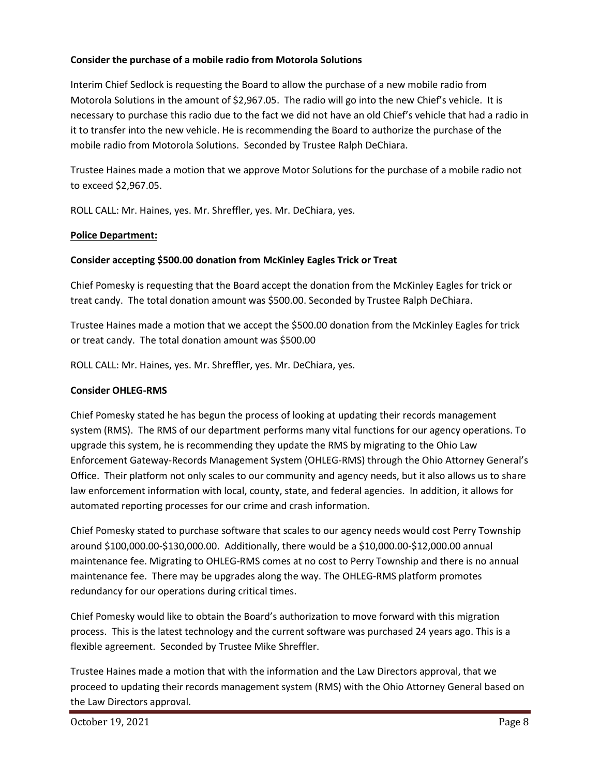## **Consider the purchase of a mobile radio from Motorola Solutions**

Interim Chief Sedlock is requesting the Board to allow the purchase of a new mobile radio from Motorola Solutions in the amount of \$2,967.05. The radio will go into the new Chief's vehicle. It is necessary to purchase this radio due to the fact we did not have an old Chief's vehicle that had a radio in it to transfer into the new vehicle. He is recommending the Board to authorize the purchase of the mobile radio from Motorola Solutions. Seconded by Trustee Ralph DeChiara.

Trustee Haines made a motion that we approve Motor Solutions for the purchase of a mobile radio not to exceed \$2,967.05.

ROLL CALL: Mr. Haines, yes. Mr. Shreffler, yes. Mr. DeChiara, yes.

## **Police Department:**

## **Consider accepting \$500.00 donation from McKinley Eagles Trick or Treat**

Chief Pomesky is requesting that the Board accept the donation from the McKinley Eagles for trick or treat candy. The total donation amount was \$500.00. Seconded by Trustee Ralph DeChiara.

Trustee Haines made a motion that we accept the \$500.00 donation from the McKinley Eagles for trick or treat candy. The total donation amount was \$500.00

ROLL CALL: Mr. Haines, yes. Mr. Shreffler, yes. Mr. DeChiara, yes.

## **Consider OHLEG-RMS**

Chief Pomesky stated he has begun the process of looking at updating their records management system (RMS). The RMS of our department performs many vital functions for our agency operations. To upgrade this system, he is recommending they update the RMS by migrating to the Ohio Law Enforcement Gateway-Records Management System (OHLEG-RMS) through the Ohio Attorney General's Office. Their platform not only scales to our community and agency needs, but it also allows us to share law enforcement information with local, county, state, and federal agencies. In addition, it allows for automated reporting processes for our crime and crash information.

Chief Pomesky stated to purchase software that scales to our agency needs would cost Perry Township around \$100,000.00-\$130,000.00. Additionally, there would be a \$10,000.00-\$12,000.00 annual maintenance fee. Migrating to OHLEG-RMS comes at no cost to Perry Township and there is no annual maintenance fee. There may be upgrades along the way. The OHLEG-RMS platform promotes redundancy for our operations during critical times.

Chief Pomesky would like to obtain the Board's authorization to move forward with this migration process. This is the latest technology and the current software was purchased 24 years ago. This is a flexible agreement. Seconded by Trustee Mike Shreffler.

Trustee Haines made a motion that with the information and the Law Directors approval, that we proceed to updating their records management system (RMS) with the Ohio Attorney General based on the Law Directors approval.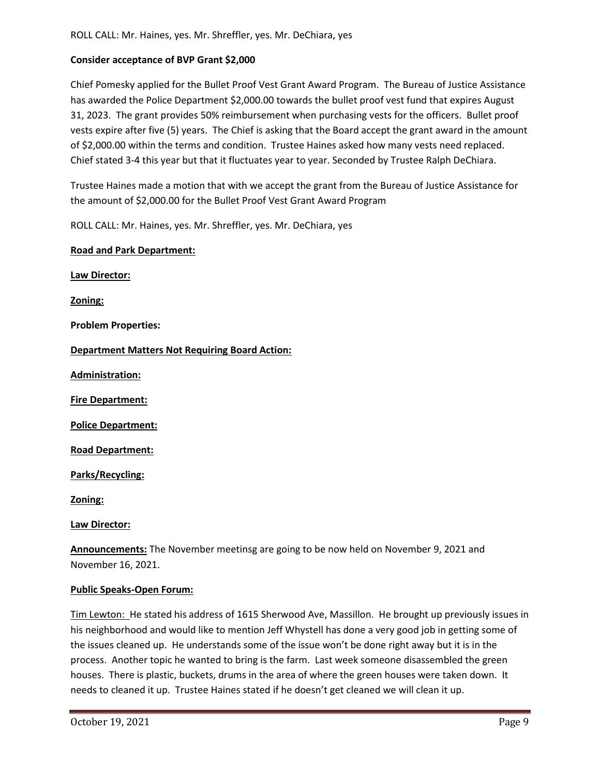## **Consider acceptance of BVP Grant \$2,000**

Chief Pomesky applied for the Bullet Proof Vest Grant Award Program. The Bureau of Justice Assistance has awarded the Police Department \$2,000.00 towards the bullet proof vest fund that expires August 31, 2023. The grant provides 50% reimbursement when purchasing vests for the officers. Bullet proof vests expire after five (5) years. The Chief is asking that the Board accept the grant award in the amount of \$2,000.00 within the terms and condition. Trustee Haines asked how many vests need replaced. Chief stated 3-4 this year but that it fluctuates year to year. Seconded by Trustee Ralph DeChiara.

Trustee Haines made a motion that with we accept the grant from the Bureau of Justice Assistance for the amount of \$2,000.00 for the Bullet Proof Vest Grant Award Program

ROLL CALL: Mr. Haines, yes. Mr. Shreffler, yes. Mr. DeChiara, yes

#### **Road and Park Department:**

**Law Director:**

**Zoning:**

**Problem Properties:**

**Department Matters Not Requiring Board Action:**

**Administration:**

**Fire Department:**

**Police Department:**

**Road Department:**

**Parks/Recycling:**

**Zoning:**

**Law Director:**

**Announcements:** The November meetinsg are going to be now held on November 9, 2021 and November 16, 2021.

#### **Public Speaks-Open Forum:**

Tim Lewton: He stated his address of 1615 Sherwood Ave, Massillon. He brought up previously issues in his neighborhood and would like to mention Jeff Whystell has done a very good job in getting some of the issues cleaned up. He understands some of the issue won't be done right away but it is in the process. Another topic he wanted to bring is the farm. Last week someone disassembled the green houses. There is plastic, buckets, drums in the area of where the green houses were taken down. It needs to cleaned it up. Trustee Haines stated if he doesn't get cleaned we will clean it up.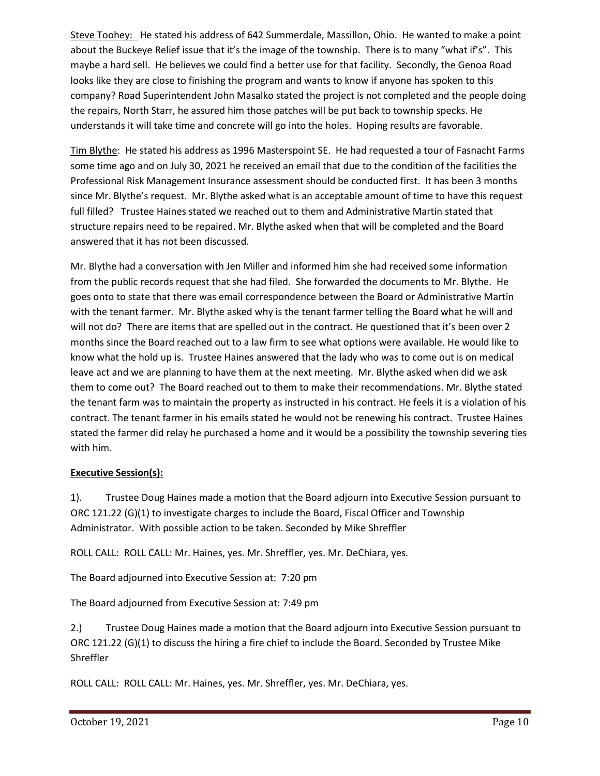Steve Toohey: He stated his address of 642 Summerdale, Massillon, Ohio. He wanted to make a point about the Buckeye Relief issue that it's the image of the township. There is to many "what if's". This maybe a hard sell. He believes we could find a better use for that facility. Secondly, the Genoa Road looks like they are close to finishing the program and wants to know if anyone has spoken to this company? Road Superintendent John Masalko stated the project is not completed and the people doing the repairs, North Starr, he assured him those patches will be put back to township specks. He understands it will take time and concrete will go into the holes. Hoping results are favorable.

Tim Blythe: He stated his address as 1996 Masterspoint SE. He had requested a tour of Fasnacht Farms some time ago and on July 30, 2021 he received an email that due to the condition of the facilities the Professional Risk Management Insurance assessment should be conducted first. It has been 3 months since Mr. Blythe's request. Mr. Blythe asked what is an acceptable amount of time to have this request full filled? Trustee Haines stated we reached out to them and Administrative Martin stated that structure repairs need to be repaired. Mr. Blythe asked when that will be completed and the Board answered that it has not been discussed.

Mr. Blythe had a conversation with Jen Miller and informed him she had received some information from the public records request that she had filed. She forwarded the documents to Mr. Blythe. He goes onto to state that there was email correspondence between the Board or Administrative Martin with the tenant farmer. Mr. Blythe asked why is the tenant farmer telling the Board what he will and will not do? There are items that are spelled out in the contract. He questioned that it's been over 2 months since the Board reached out to a law firm to see what options were available. He would like to know what the hold up is. Trustee Haines answered that the lady who was to come out is on medical leave act and we are planning to have them at the next meeting. Mr. Blythe asked when did we ask them to come out? The Board reached out to them to make their recommendations. Mr. Blythe stated the tenant farm was to maintain the property as instructed in his contract. He feels it is a violation of his contract. The tenant farmer in his emails stated he would not be renewing his contract. Trustee Haines stated the farmer did relay he purchased a home and it would be a possibility the township severing ties with him.

## **Executive Session(s):**

1). Trustee Doug Haines made a motion that the Board adjourn into Executive Session pursuant to ORC 121.22 (G)(1) to investigate charges to include the Board, Fiscal Officer and Township Administrator. With possible action to be taken. Seconded by Mike Shreffler

ROLL CALL: ROLL CALL: Mr. Haines, yes. Mr. Shreffler, yes. Mr. DeChiara, yes.

The Board adjourned into Executive Session at: 7:20 pm

The Board adjourned from Executive Session at: 7:49 pm

2.) Trustee Doug Haines made a motion that the Board adjourn into Executive Session pursuant to ORC 121.22 (G)(1) to discuss the hiring a fire chief to include the Board. Seconded by Trustee Mike Shreffler

ROLL CALL: ROLL CALL: Mr. Haines, yes. Mr. Shreffler, yes. Mr. DeChiara, yes.